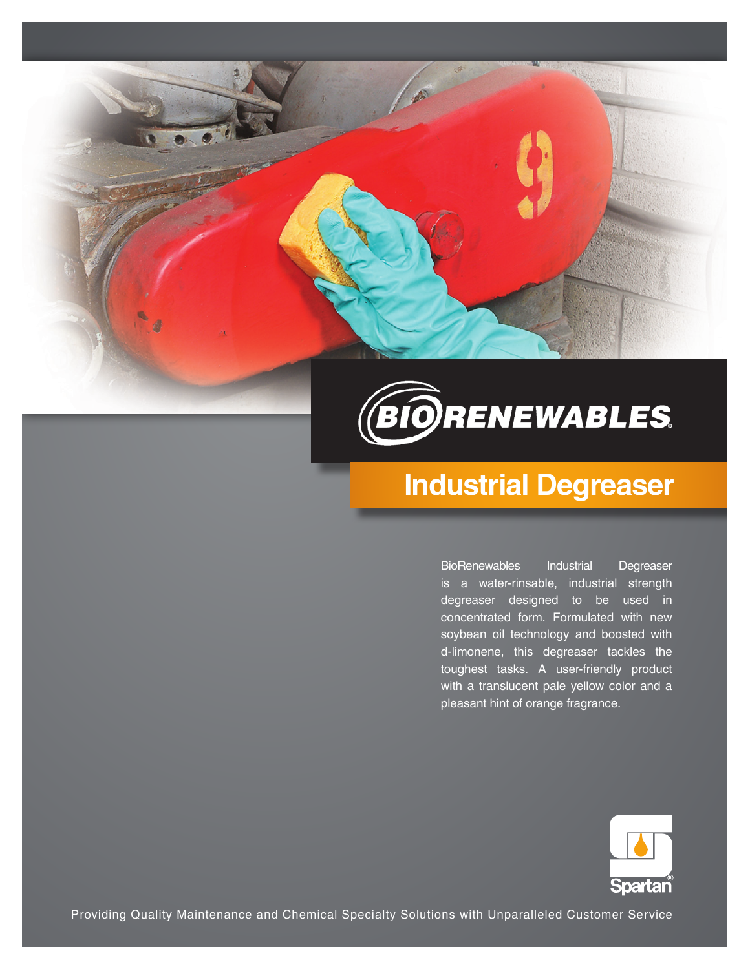



# **Industrial Degreaser**

BioRenewables Industrial Degreaser is a water-rinsable, industrial strength degreaser designed to be used in concentrated form. Formulated with new soybean oil technology and boosted with d-limonene, this degreaser tackles the toughest tasks. A user-friendly product with a translucent pale yellow color and a pleasant hint of orange fragrance.



Providing Quality Maintenance and Chemical Specialty Solutions with Unparalleled Customer Service